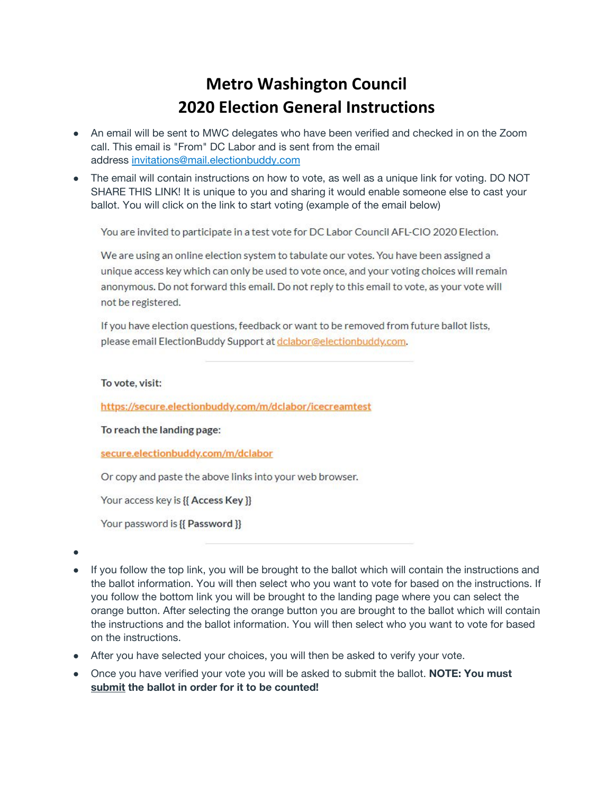### **Metro Washington Council 2020 Election General Instructions**

- An email will be sent to MWC delegates who have been verified and checked in on the Zoom call. This email is "From" DC Labor and is sent from the email address [invitations@mail.electionbuddy.com](mailto:invitations@mail.electionbuddy.com)
- The email will contain instructions on how to vote, as well as a unique link for voting. DO NOT SHARE THIS LINK! It is unique to you and sharing it would enable someone else to cast your ballot. You will click on the link to start voting (example of the email below)

You are invited to participate in a test vote for DC Labor Council AFL-CIO 2020 Election.

We are using an online election system to tabulate our votes. You have been assigned a unique access key which can only be used to vote once, and your voting choices will remain anonymous. Do not forward this email. Do not reply to this email to vote, as your vote will not be registered.

If you have election questions, feedback or want to be removed from future ballot lists, please email ElectionBuddy Support at dclabor@electionbuddy.com.

#### To vote, visit:

https://secure.electionbuddy.com/m/dclabor/icecreamtest

To reach the landing page:

secure.electionbuddy.com/m/dclabor

Or copy and paste the above links into your web browser.

Your access key is {{ Access Key }}

Your password is {{ Password }}

●

- If you follow the top link, you will be brought to the ballot which will contain the instructions and the ballot information. You will then select who you want to vote for based on the instructions. If you follow the bottom link you will be brought to the landing page where you can select the orange button. After selecting the orange button you are brought to the ballot which will contain the instructions and the ballot information. You will then select who you want to vote for based on the instructions.
- After you have selected your choices, you will then be asked to verify your vote.
- Once you have verified your vote you will be asked to submit the ballot. **NOTE: You must submit the ballot in order for it to be counted!**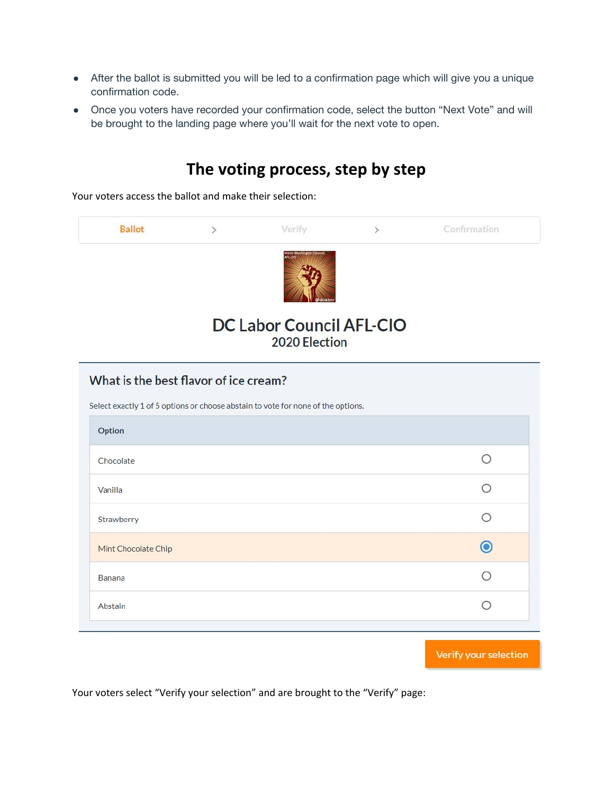- After the ballot is submitted you will be led to a confirmation page which will give you a unique confirmation code.
- Once you voters have recorded your confirmation code, select the button "Next Vote" and will be brought to the landing page where you'll wait for the next vote to open.



### Verify your selection

Your voters select "Verify your selection" and are brought to the "Verify" page: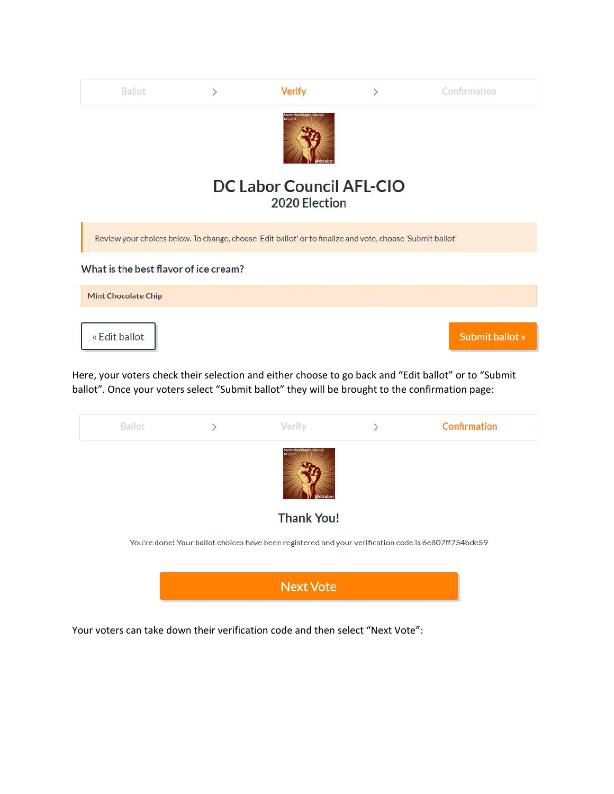| Ballot                                | ⋋ | <b>Verify</b>                                                                                              | $\left\langle \right\rangle$ | Confirmation    |
|---------------------------------------|---|------------------------------------------------------------------------------------------------------------|------------------------------|-----------------|
|                                       |   | AFL-CIO                                                                                                    |                              |                 |
|                                       |   | <b>DC Labor Council AFL-CIO</b><br>2020 Election                                                           |                              |                 |
|                                       |   | Review your choices below. To change, choose 'Edit ballot' or to finalize and vote, choose 'Submit ballot' |                              |                 |
| What is the best flavor of ice cream? |   |                                                                                                            |                              |                 |
| <b>Mint Chocolate Chip</b>            |   |                                                                                                            |                              |                 |
| « Edit ballot                         |   |                                                                                                            |                              | Submit ballot » |

Here, your voters check their selection and either choose to go back and "Edit ballot" or to "Submit ballot". Once your voters select "Submit ballot" they will be brought to the confirmation page:



Your voters can take down their verification code and then select "Next Vote":